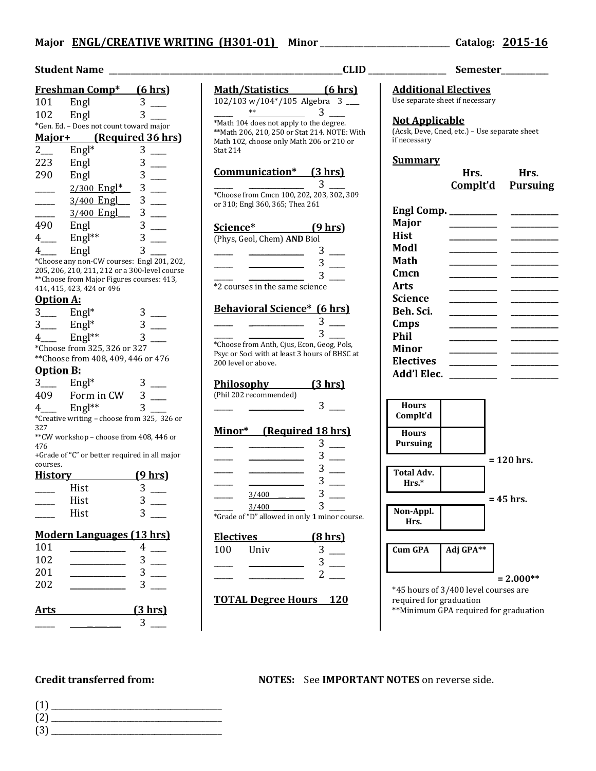| Student Name                     |                                                                                             |               |  |  |
|----------------------------------|---------------------------------------------------------------------------------------------|---------------|--|--|
|                                  | <b>Freshman Comp*</b> (6 hrs)                                                               |               |  |  |
| 101                              | Engl                                                                                        | 3             |  |  |
| 102                              | Engl                                                                                        | 3             |  |  |
|                                  | *Gen. Ed. - Does not count toward major                                                     |               |  |  |
|                                  | Major+ (Required 36 hrs)                                                                    |               |  |  |
|                                  | $Engl*$                                                                                     | 3             |  |  |
| $2$ <sub>——</sub>                |                                                                                             |               |  |  |
| 223                              | Engl                                                                                        | 3             |  |  |
| 290                              | Engl                                                                                        | 3             |  |  |
|                                  | 2/300 Engl*                                                                                 | 3             |  |  |
|                                  | 3/400 Engl___                                                                               | 3             |  |  |
|                                  |                                                                                             | 3             |  |  |
| 490                              | Engl                                                                                        |               |  |  |
| $4\qquad$                        | $Engl**$                                                                                    | $\frac{3}{3}$ |  |  |
|                                  |                                                                                             |               |  |  |
| 4                                | Engl                                                                                        |               |  |  |
|                                  | *Choose any non-CW courses: Engl 201, 202,<br>205, 206, 210, 211, 212 or a 300-level course |               |  |  |
|                                  | ** Choose from Major Figures courses: 413,                                                  |               |  |  |
|                                  | 414, 415, 423, 424 or 496                                                                   |               |  |  |
| <b>Option A:</b>                 |                                                                                             |               |  |  |
| $3$ Engl <sup>*</sup>            |                                                                                             |               |  |  |
| $3$ <sub>——</sub>                | $Engl*$                                                                                     |               |  |  |
| $4\equiv$                        | $Engl**$                                                                                    |               |  |  |
|                                  | *Choose from 325, 326 or 327                                                                |               |  |  |
|                                  | **Choose from 408, 409, 446 or 476                                                          |               |  |  |
| <b>Option B:</b>                 |                                                                                             |               |  |  |
|                                  |                                                                                             |               |  |  |
| $3_{-}$                          | $Engl*$                                                                                     |               |  |  |
| 409                              | Form in CW                                                                                  | 3             |  |  |
| $4 \underline{\ }$               | $Engl**$                                                                                    |               |  |  |
|                                  | *Creative writing - choose from 325, 326 or                                                 |               |  |  |
| 327                              |                                                                                             |               |  |  |
| 476                              | ** CW workshop - choose from 408, 446 or                                                    |               |  |  |
|                                  | +Grade of "C" or better required in all major                                               |               |  |  |
| courses.                         |                                                                                             |               |  |  |
| <u>History</u>                   |                                                                                             | (9 hrs)       |  |  |
|                                  | Hist                                                                                        |               |  |  |
|                                  | Hist                                                                                        |               |  |  |
|                                  | Hist                                                                                        | 3             |  |  |
|                                  |                                                                                             |               |  |  |
| <b>Modern Languages (13 hrs)</b> |                                                                                             |               |  |  |
| 101                              |                                                                                             | 4             |  |  |
| 102                              |                                                                                             | 3             |  |  |
|                                  |                                                                                             | 3             |  |  |
| 201                              |                                                                                             |               |  |  |
| 202                              |                                                                                             | 3             |  |  |
|                                  |                                                                                             |               |  |  |
|                                  |                                                                                             |               |  |  |

|             | Philosophy<br>(Phil 202 recommended) |                               |
|-------------|--------------------------------------|-------------------------------|
| 25, 326 or  |                                      |                               |
| 3, 446 or   | Minor*                               | <u>(Requiree</u>              |
| all major   |                                      |                               |
| <u>hrs)</u> |                                      |                               |
|             |                                      | 3/400                         |
|             |                                      | 3/400                         |
|             |                                      | *Grade of "D" allowed in only |
| <u>hrs)</u> | <b>Electives</b>                     |                               |
|             | 100                                  | Univ                          |
|             |                                      |                               |
|             |                                      |                               |
|             |                                      |                               |

# **Arts (3 hrs)**  $3 \equiv$

# **Math/Statistics (6 hrs)** 102/103 w/104\*/105 Algebra 3 \_\_\_\_

 $\frac{1}{2}$   $\frac{1}{2}$   $\frac{1}{2}$   $\frac{1}{2}$   $\frac{1}{2}$   $\frac{1}{2}$   $\frac{1}{2}$   $\frac{1}{2}$   $\frac{1}{2}$   $\frac{1}{2}$   $\frac{1}{2}$   $\frac{1}{2}$   $\frac{1}{2}$   $\frac{1}{2}$   $\frac{1}{2}$   $\frac{1}{2}$   $\frac{1}{2}$   $\frac{1}{2}$   $\frac{1}{2}$   $\frac{1}{2}$   $\frac{1}{2}$   $\frac{1}{2}$  \*Math 104 does not apply to the degree. \*\*Math 206, 210, 250 or Stat 214. NOTE: With Math 102, choose only Math 206 or 210 or Stat 214

#### **Communication\* (3 hrs)**  $\overline{3}$

\*Choose from Cmcn 100, 202, 203, 302, 309 or 310; Engl 360, 365; Thea 261

# **Science\* (9 hrs)**

(Phys, Geol, Chem) **AND** Biol  $3$   $\equiv$ 

 $\frac{3}{2}$  $3$ \*2 courses in the same science

## **Behavioral Science\* (6 hrs)**

 $\frac{3}{2}$  $\frac{1}{\sqrt{3}}$   $\frac{1}{\sqrt{3}}$   $\frac{1}{\sqrt{3}}$   $\frac{1}{\sqrt{3}}$   $\frac{1}{\sqrt{3}}$   $\frac{1}{\sqrt{3}}$   $\frac{1}{\sqrt{3}}$   $\frac{1}{\sqrt{3}}$   $\frac{1}{\sqrt{3}}$   $\frac{1}{\sqrt{3}}$   $\frac{1}{\sqrt{3}}$   $\frac{1}{\sqrt{3}}$   $\frac{1}{\sqrt{3}}$   $\frac{1}{\sqrt{3}}$   $\frac{1}{\sqrt{3}}$   $\frac{1}{\sqrt{3}}$   $\frac{1}{\sqrt{3}}$  \*Choose from Anth, Cjus, Econ, Geog, Pols, Psyc or Soci with at least 3 hours of BHSC at 200 level or above.

### **Philosophy (3 hrs)**

 $3$   $\equiv$ 

### d 18 hrs)

|                                               | З |
|-----------------------------------------------|---|
| 3/400                                         |   |
| 3/400                                         |   |
| *Grade of "D" allowed in only 1 minor course. |   |

**Electives (8 hrs)**

| 100 | Univ | C |
|-----|------|---|
|     |      | 3 |
|     |      |   |

# **TOTAL Degree Hours 120**

# **Additional Electives** Use separate sheet if necessary **Not Applicable** (Acsk, Deve, Cned, etc.) – Use separate sheet if necessary **Summary**

**Hrs. Hrs. Complt'd Pursuing**

| Engl Comp. ________ |  |
|---------------------|--|
| <b>Major</b>        |  |
| <b>Hist</b>         |  |
|                     |  |
| Modl                |  |
| Math                |  |
| Cmcn                |  |
| Arts                |  |
| Science             |  |
| Beh. Sci.           |  |
| Cmps                |  |
| Phil                |  |
| Minor               |  |
| <b>Electives</b>    |  |
| Add'l Elec.         |  |
|                     |  |



\*\*Minimum GPA required for graduation

**Credit transferred from: NOTES:** See **IMPORTANT NOTES** on reverse side.

- (1) \_\_\_\_\_\_\_\_\_\_\_\_\_\_\_\_\_\_\_\_\_\_\_\_\_\_\_\_\_\_\_\_\_\_\_\_\_\_\_\_\_\_\_
- (2) \_\_\_\_\_\_\_\_\_\_\_\_\_\_\_\_\_\_\_\_\_\_\_\_\_\_\_\_\_\_\_\_\_\_\_\_\_\_\_\_\_\_\_
- (3) \_\_\_\_\_\_\_\_\_\_\_\_\_\_\_\_\_\_\_\_\_\_\_\_\_\_\_\_\_\_\_\_\_\_\_\_\_\_\_\_\_\_\_

**Student Name** \_\_\_\_\_\_\_\_\_\_\_\_\_\_\_\_\_\_\_\_\_\_\_\_\_\_\_\_\_\_\_\_\_\_\_\_\_\_\_\_\_\_\_\_\_\_\_\_\_\_\_\_\_\_**CLID** \_\_\_\_\_\_\_\_\_\_\_\_\_\_\_\_\_\_ **Semester**\_\_\_\_\_\_\_\_\_\_\_